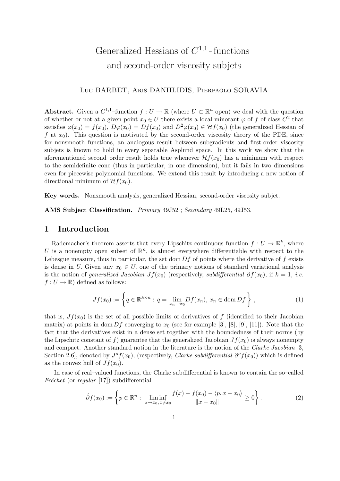# Generalized Hessians of  $C^{1,1}$ -functions and second-order viscosity subjets

### Luc BARBET, Aris DANIILIDIS, Pierpaolo SORAVIA

**Abstract.** Given a  $C^{1,1}$ -function  $f: U \to \mathbb{R}$  (where  $U \subset \mathbb{R}^n$  open) we deal with the question of whether or not at a given point  $x_0 \in U$  there exists a local minorant  $\varphi$  of f of class  $C^2$  that satisfies  $\varphi(x_0) = f(x_0)$ ,  $D\varphi(x_0) = Df(x_0)$  and  $D^2\varphi(x_0) \in \mathcal{H}f(x_0)$  (the generalized Hessian of f at  $x_0$ ). This question is motivated by the second-order viscosity theory of the PDE, since for nonsmooth functions, an analogous result between subgradients and first-order viscosity subjets is known to hold in every separable Asplund space. In this work we show that the aforementioned second–order result holds true whenever  $\mathcal{H}f(x_0)$  has a minimum with respect to the semidefinite cone (thus in particular, in one dimension), but it fails in two dimensions even for piecewise polynomial functions. We extend this result by introducing a new notion of directional minimum of  $\mathcal{H}f(x_0)$ .

Key words. Nonsmooth analysis, generalized Hessian, second-order viscosity subjet.

AMS Subject Classification. Primary 49J52 ; Secondary 49L25, 49J53.

### 1 Introduction

Rademacher's theorem asserts that every Lipschitz continuous function  $f: U \to \mathbb{R}^k$ , where U is a nonempty open subset of  $\mathbb{R}^n$ , is almost everywhere differentiable with respect to the Lebesgue measure, thus in particular, the set dom  $Df$  of points where the derivative of f exists is dense in U. Given any  $x_0 \in U$ , one of the primary notions of standard variational analysis is the notion of generalized Jacobian  $Jf(x_0)$  (respectively, subdifferential  $\partial f(x_0)$ , if  $k = 1$ , i.e.  $f: U \to \mathbb{R}$  defined as follows:

$$
Jf(x_0) := \left\{ q \in \mathbb{R}^{k \times n} : q = \lim_{x_n \to x_0} Df(x_n), x_n \in \text{dom } Df \right\},\tag{1}
$$

that is,  $Jf(x_0)$  is the set of all possible limits of derivatives of f (identified to their Jacobian matrix) at points in dom Df converging to  $x_0$  (see for example [3], [8], [9], [11]). Note that the fact that the derivatives exist in a dense set together with the boundedness of their norms (by the Lipschitz constant of f) guarantee that the generalized Jacobian  $Jf(x_0)$  is always nonempty and compact. Another standard notion in the literature is the notion of the Clarke Jacobian [3, Section 2.6, denoted by  $J^{\circ}f(x_0)$ , (respectively, *Clarke subdifferential*  $\partial^{\circ}f(x_0)$ ) which is defined as the convex hull of  $Jf(x_0)$ .

In case of real–valued functions, the Clarke subdifferential is known to contain the so–called Fréchet (or regular [17]) subdifferential

$$
\hat{\partial} f(x_0) := \left\{ p \in \mathbb{R}^n : \liminf_{x \to x_0, x \neq x_0} \frac{f(x) - f(x_0) - \langle p, x - x_0 \rangle}{\|x - x_0\|} \ge 0 \right\}.
$$
 (2)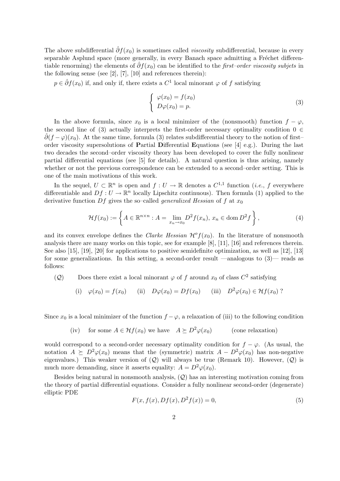The above subdifferential  $\hat{\partial}f(x_0)$  is sometimes called *viscosity* subdifferential, because in every separable Asplund space (more generally, in every Banach space admitting a Fréchet differentiable renorming) the elements of  $\hat{\partial}f(x_0)$  can be identified to the first–order viscosity subjets in the following sense (see [2], [7], [10] and references therein):

 $p \in \hat{\partial} f(x_0)$  if, and only if, there exists a  $C^1$  local minorant  $\varphi$  of f satisfying

$$
\begin{cases}\n\varphi(x_0) = f(x_0) \\
D\varphi(x_0) = p.\n\end{cases}
$$
\n(3)

In the above formula, since  $x_0$  is a local minimizer of the (nonsmooth) function  $f - \varphi$ , the second line of (3) actually interprets the first-order necessary optimality condition  $0 \in$  $\partial(f - \varphi)(x_0)$ . At the same time, formula (3) relates subdifferential theory to the notion of first– order viscosity supersolutions of Partial Differential Equations (see [4] e.g.). During the last two decades the second–order viscosity theory has been developed to cover the fully nonlinear partial differential equations (see [5] for details). A natural question is thus arising, namely whether or not the previous correspondence can be extended to a second–order setting. This is one of the main motivations of this work.

In the sequel,  $U \subset \mathbb{R}^n$  is open and  $f: U \to \mathbb{R}$  denotes a  $C^{1,1}$  function (*i.e.*, f everywhere differentiable and  $Df: U \to \mathbb{R}^n$  locally Lipschitz continuous). Then formula (1) applied to the derivative function Df gives the so–called *generalized Hessian* of f at  $x_0$ 

$$
\mathcal{H}f(x_0) := \left\{ A \in \mathbb{R}^{n \times n} : A = \lim_{x_n \to x_0} D^2 f(x_n), \, x_n \in \text{dom}\, D^2 f \right\},\tag{4}
$$

and its convex envelope defines the *Clarke Hessian*  $\mathcal{H}^{\circ}f(x_0)$ . In the literature of nonsmooth analysis there are many works on this topic, see for example [8], [11], [16] and references therein. See also [15], [19], [20] for applications to positive semidefinite optimization, as well as [12], [13] for some generalizations. In this setting, a second-order result —analogous to (3)— reads as follows:

(Q) Does there exist a local minorant  $\varphi$  of f around  $x_0$  of class  $C^2$  satisfying

(i) 
$$
\varphi(x_0) = f(x_0)
$$
 (ii)  $D\varphi(x_0) = Df(x_0)$  (iii)  $D^2\varphi(x_0) \in \mathcal{H}f(x_0)$ ?

Since  $x_0$  is a local minimizer of the function  $f - \varphi$ , a relaxation of (iii) to the following condition

(iv) for some 
$$
A \in \mathcal{H}f(x_0)
$$
 we have  $A \succeq D^2\varphi(x_0)$  (cone relaxation)

would correspond to a second-order necessary optimality condition for  $f - \varphi$ . (As usual, the notation  $A \succeq D^2\varphi(x_0)$  means that the (symmetric) matrix  $A - D^2\varphi(x_0)$  has non-negative eigenvalues.) This weaker version of  $(Q)$  will always be true (Remark 10). However,  $(Q)$  is much more demanding, since it asserts equality:  $A = D^2 \varphi(x_0)$ .

Besides being natural in nonsmooth analysis, (Q) has an interesting motivation coming from the theory of partial differential equations. Consider a fully nonlinear second-order (degenerate) elliptic PDE

$$
F(x, f(x), Df(x), D^{2}f(x)) = 0,
$$
\n(5)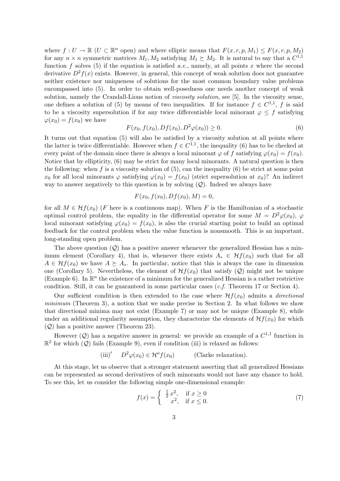where  $f: U \to \mathbb{R}$   $(U \subset \mathbb{R}^n$  open) and where elliptic means that  $F(x, r, p, M_1) \leq F(x, r, p, M_2)$ for any  $n \times n$  symmetric matrices  $M_1, M_2$  satisfying  $M_1 \succeq M_2$ . It is natural to say that a  $C^{1,1}$ function f solves (5) if the equation is satisfied a.e., namely, at all points x where the second derivative  $D^2 f(x)$  exists. However, in general, this concept of weak solution does not guarantee neither existence nor uniqueness of solutions for the most common boundary value problems encompassed into (5). In order to obtain well-posedness one needs another concept of weak solution, namely the Crandall-Lions notion of viscosity solution, see [5]. In the viscosity sense, one defines a solution of (5) by means of two inequalities. If for instance  $f \in C^{1,1}$ , f is said to be a viscosity supersolution if for any twice differentiable local minorant  $\varphi \leq f$  satisfying  $\varphi(x_0) = f(x_0)$  we have

$$
F(x_0, f(x_0), Df(x_0), D^2\varphi(x_0)) \ge 0.
$$
\n(6)

It turns out that equation (5) will also be satisfied by a viscosity solution at all points where the latter is twice differentiable. However when  $f \in C^{1,1}$ , the inequality (6) has to be checked at every point of the domain since there is always a local minorant  $\varphi$  of f satisfying  $\varphi(x_0) = f(x_0)$ . Notice that by ellipticity, (6) may be strict for many local minorants. A natural question is then the following: when f is a viscosity solution of  $(5)$ , can the inequality  $(6)$  be strict at some point  $x_0$  for all local minorants  $\varphi$  satisfying  $\varphi(x_0) = f(x_0)$  (strict supersolution at  $x_0$ )? An indirect way to answer negatively to this question is by solving  $(Q)$ . Indeed we always have

$$
F(x_0, f(x_0), Df(x_0), M) = 0,
$$

for all  $M \in Hf(x_0)$  (F here is a continuous map). When F is the Hamiltonian of a stochastic optimal control problem, the equality in the differential operator for some  $M = D^2\varphi(x_0)$ ,  $\varphi$ local minorant satisfying  $\varphi(x_0) = f(x_0)$ , is also the crucial starting point to build an optimal feedback for the control problem when the value function is nonsmooth. This is an important, long-standing open problem.

The above question  $(Q)$  has a positive answer whenever the generalized Hessian has a minimum element (Corollary 4), that is, whenever there exists  $A_* \in Hf(x_0)$  such that for all  $A \in Hf(x_0)$  we have  $A \succeq A_*$ . In particular, notice that this is always the case in dimension one (Corollary 5). Nevertheless, the element of  $\mathcal{H}f(x_0)$  that satisfy  $(Q)$  might not be unique (Example 6). In  $\mathbb{R}^n$  the existence of a minimum for the generalized Hessian is a rather restrictive condition. Still, it can be guaranteed in some particular cases  $(c.f.$  Theorem 17 or Section 4).

Our sufficient condition is then extended to the case where  $\mathcal{H}f(x_0)$  admits a *directional* minimum (Theorem 3), a notion that we make precise in Section 2. In what follows we show that directional minima may not exist (Example 7) or may not be unique (Example 8), while under an additional regularity assumption, they characterize the elements of  $\mathcal{H}f(x_0)$  for which (Q) has a positive answer (Theorem 23).

However  $(Q)$  has a negative answer in general: we provide an example of a  $C^{1,1}$  function in  $\mathbb{R}^2$  for which  $(Q)$  fails (Example 9), even if condition (iii) is relaxed as follows:

(iii)' 
$$
D^2\varphi(x_0) \in \mathcal{H}^{\circ}f(x_0)
$$
 (Clarke relaxation).

At this stage, let us observe that a stronger statement asserting that all generalized Hessians can be represented as second derivatives of such minorants would not have any chance to hold. To see this, let us consider the following simple one-dimensional example:

$$
f(x) = \begin{cases} \frac{1}{2}x^2, & \text{if } x \ge 0\\ x^2, & \text{if } x \le 0. \end{cases}
$$
 (7)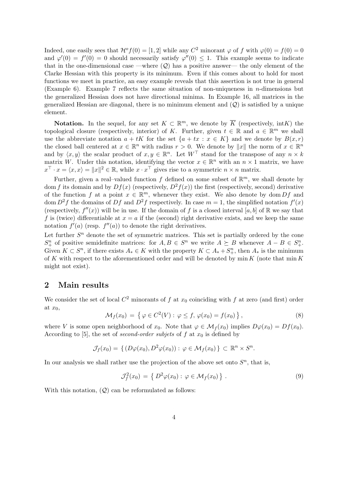Indeed, one easily sees that  $\mathcal{H}^{\circ} f(0) = [1, 2]$  while any  $C^2$  minorant  $\varphi$  of f with  $\varphi(0) = f(0) = 0$ and  $\varphi'(0) = f'(0) = 0$  should necessarily satisfy  $\varphi''(0) \leq 1$ . This example seems to indicate that in the one-dimensional case —where  $(Q)$  has a positive answer— the only element of the Clarke Hessian with this property is its minimum. Even if this comes about to hold for most functions we meet in practice, an easy example reveals that this assertion is not true in general (Example 6). Example 7 reflects the same situation of non-uniqueness in n-dimensions but the generalized Hessian does not have directional minima. In Example 16, all matrices in the generalized Hessian are diagonal, there is no minimum element and  $(Q)$  is satisfied by a unique element.

**Notation.** In the sequel, for any set  $K \subset \mathbb{R}^m$ , we denote by  $\overline{K}$  (respectively,  $\text{int } K$ ) the topological closure (respectively, interior) of K. Further, given  $t \in \mathbb{R}$  and  $a \in \mathbb{R}^m$  we shall use the abbreviate notation  $a + tK$  for the set  $\{a + tx : x \in K\}$  and we denote by  $B(x, r)$ the closed ball centered at  $x \in \mathbb{R}^n$  with radius  $r > 0$ . We denote by  $||x||$  the norm of  $x \in \mathbb{R}^n$ and by  $\langle x, y \rangle$  the scalar product of  $x, y \in \mathbb{R}^n$ . Let  $W^{\top}$  stand for the transpose of any  $n \times k$ matrix W. Under this notation, identifying the vector  $x \in \mathbb{R}^n$  with an  $n \times 1$  matrix, we have  $x^{\top} \cdot x = \langle x, x \rangle = ||x||^2 \in \mathbb{R}$ , while  $x \cdot x^{\top}$  gives rise to a symmetric  $n \times n$  matrix.

Further, given a real-valued function f defined on some subset of  $\mathbb{R}^m$ , we shall denote by dom f its domain and by  $Df(x)$  (respectively,  $D^2f(x)$ ) the first (respectively, second) derivative of the function f at a point  $x \in \mathbb{R}^m$ , whenever they exist. We also denote by dom  $Df$  and dom  $D^2 f$  the domains of Df and  $D^2 f$  respectively. In case  $m = 1$ , the simplified notation  $f'(x)$ (respectively,  $f''(x)$ ) will be in use. If the domain of f is a closed interval [a, b] of R we say that f is (twice) differentiable at  $x = a$  if the (second) right derivative exists, and we keep the same notation  $f'(a)$  (resp.  $f''(a)$ ) to denote the right derivatives.

Let further  $S<sup>n</sup>$  denote the set of symmetric matrices. This set is partially ordered by the cone  $S_{+}^{n}$  of positive semidefinite matrices: for  $A, B \in S^{n}$  we write  $A \succeq B$  whenever  $A - B \in S_{+}^{n}$ . Given  $K \subset S^n$ , if there exists  $A_* \in K$  with the property  $K \subset A_* + S^n_+$ , then  $A_*$  is the minimum of K with respect to the aforementioned order and will be denoted by  $\min K$  (note that  $\min K$ might not exist).

### 2 Main results

We consider the set of local  $C^2$  minorants of f at  $x_0$  coinciding with f at zero (and first) order at  $x_0$ , ª

$$
\mathcal{M}_f(x_0) = \left\{ \varphi \in C^2(V) : \varphi \le f, \varphi(x_0) = f(x_0) \right\},\tag{8}
$$

where V is some open neighborhood of  $x_0$ . Note that  $\varphi \in \mathcal{M}_f(x_0)$  implies  $D\varphi(x_0) = Df(x_0)$ . According to [5], the set of *second-order subjets* of f at  $x_0$  is defined by

$$
\mathcal{J}_f(x_0) = \{ (D\varphi(x_0), D^2\varphi(x_0)) : \varphi \in \mathcal{M}_f(x_0) \} \subset \mathbb{R}^n \times S^n.
$$

In our analysis we shall rather use the projection of the above set onto  $S<sup>n</sup>$ , that is,

$$
\mathcal{J}_f^2(x_0) = \left\{ D^2 \varphi(x_0) : \varphi \in \mathcal{M}_f(x_0) \right\}.
$$
 (9)

With this notation,  $(Q)$  can be reformulated as follows: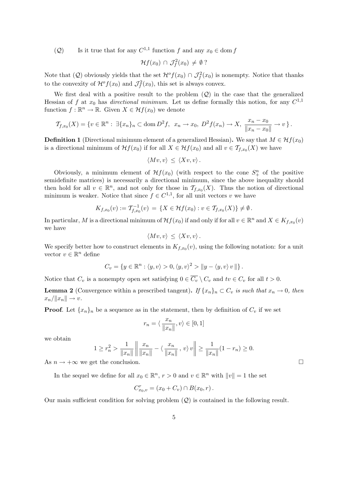(2) Is it true that for any  $C^{1,1}$  function f and any  $x_0 \in \text{dom } f$ 

$$
\mathcal{H}f(x_0)\,\cap\,\mathcal{J}_f^2(x_0)\,\neq\,\emptyset?
$$

Note that (Q) obviously yields that the set  $\mathcal{H}^o f(x_0) \cap \mathcal{J}_f^2(x_0)$  is nonempty. Notice that thanks to the convexity of  $\mathcal{H}^o f(x_0)$  and  $\mathcal{J}_f^2(x_0)$ , this set is always convex.

We first deal with a positive result to the problem  $(Q)$  in the case that the generalized Hessian of f at  $x_0$  has *directional minimum*. Let us define formally this notion, for any  $C^{1,1}$ function  $f : \mathbb{R}^n \to \mathbb{R}$ . Given  $X \in \mathcal{H}f(x_0)$  we denote

$$
\mathcal{T}_{f,x_0}(X) = \{v \in \mathbb{R}^n : \ \exists \{x_n\}_n \subset \text{dom}\, D^2f, \ \ x_n \to x_0, \ D^2f(x_n) \to X, \ \frac{x_n - x_0}{\|x_n - x_0\|} \to v\}.
$$

**Definition 1** (Directional minimum element of a generalized Hessian). We say that  $M \in Hf(x_0)$ is a directional minimum of  $\mathcal{H}f(x_0)$  if for all  $X \in \mathcal{H}f(x_0)$  and all  $v \in \mathcal{T}_{f,x_0}(X)$  we have

$$
\langle Mv, v \rangle \leq \langle Xv, v \rangle.
$$

Obviously, a minimum element of  $\mathcal{H}f(x_0)$  (with respect to the cone  $S^n_+$  of the positive semidefinite matrices) is necessarily a directional minimum, since the above inequality should then hold for all  $v \in \mathbb{R}^n$ , and not only for those in  $\mathcal{T}_{f,x_0}(X)$ . Thus the notion of directional minimum is weaker. Notice that since  $f \in C^{1,1}$ , for all unit vectors v we have

$$
K_{f,x_0}(v) := \mathcal{T}_{f,x_0}^{-1}(v) = \{ X \in \mathcal{H}f(x_0) : v \in \mathcal{T}_{f,x_0}(X) \} \neq \emptyset.
$$

In particular, M is a directional minimum of  $\mathcal{H}f(x_0)$  if and only if for all  $v \in \mathbb{R}^n$  and  $X \in K_{f,x_0}(v)$ we have

$$
\langle Mv, v \rangle \leq \langle Xv, v \rangle.
$$

We specify better how to construct elements in  $K_{f,x_0}(v)$ , using the following notation: for a unit vector  $v \in \mathbb{R}^n$  define

$$
C_v = \{ y \in \mathbb{R}^n : \langle y, v \rangle > 0, \langle y, v \rangle^2 > ||y - \langle y, v \rangle v|| \}.
$$

Notice that  $C_v$  is a nonempty open set satisfying  $0 \in \overline{C_v} \setminus C_v$  and  $tv \in C_v$  for all  $t > 0$ .

**Lemma 2** (Convergence within a prescribed tangent). If  $\{x_n\}_n \subset C_v$  is such that  $x_n \to 0$ , then  $x_n/\|x_n\| \to v.$ 

**Proof.** Let  $\{x_n\}_n$  be a sequence as in the statement, then by definition of  $C_v$  if we set

$$
r_n = \langle \frac{x_n}{\|x_n\|}, v \rangle \in [0, 1]
$$

we obtain

$$
1 \ge r_n^2 > \frac{1}{\|x_n\|} \left\| \frac{x_n}{\|x_n\|} - \langle \frac{x_n}{\|x_n\|}, v \rangle v \right\| \ge \frac{1}{\|x_n\|} (1 - r_n) \ge 0.
$$

As  $n \to +\infty$  we get the conclusion.

In the sequel we define for all  $x_0 \in \mathbb{R}^n$ ,  $r > 0$  and  $v \in \mathbb{R}^n$  with  $||v|| = 1$  the set

$$
C_{x_0,v}^r = (x_0 + C_v) \cap B(x_0,r).
$$

Our main sufficient condition for solving problem  $(Q)$  is contained in the following result.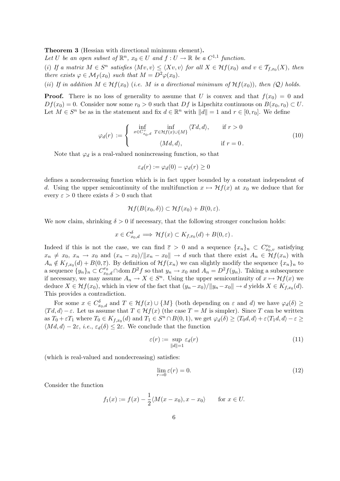Theorem 3 (Hessian with directional minimum element).

Let U be an open subset of  $\mathbb{R}^n$ ,  $x_0 \in U$  and  $f: U \to \mathbb{R}$  be a  $C^{1,1}$  function.

(i) If a matrix  $M \in S^n$  satisfies  $\langle Mv, v \rangle \leq \langle Xv, v \rangle$  for all  $X \in Hf(x_0)$  and  $v \in T_{f,x_0}(X)$ , then there exists  $\varphi \in \mathcal{M}_f(x_0)$  such that  $M = D^2 \varphi(x_0)$ .

(ii) If in addition  $M \in Hf(x_0)$  (i.e. M is a directional minimum of  $Hf(x_0)$ ), then  $(Q)$  holds.

**Proof.** There is no loss of generality to assume that U is convex and that  $f(x_0) = 0$  and  $Df(x_0) = 0$ . Consider now some  $r_0 > 0$  such that  $Df$  is Lipschitz continuous on  $B(x_0, r_0) \subset U$ . Let  $M \in S^n$  be as in the statement and fix  $d \in \mathbb{R}^n$  with  $||d|| = 1$  and  $r \in [0, r_0]$ . We define

$$
\varphi_d(r) := \begin{cases} \inf_{x \in C_{x_0,d}^r} \inf_{T \in \mathcal{H}f(x) \cup \{M\}} \langle Td, d \rangle, & \text{if } r > 0 \\ \langle Md, d \rangle, & \text{if } r = 0. \end{cases}
$$
(10)

Note that  $\varphi_d$  is a real-valued nonincreasing function, so that

$$
\varepsilon_d(r) := \varphi_d(0) - \varphi_d(r) \ge 0
$$

defines a nondecreasing function which is in fact upper bounded by a constant independent of d. Using the upper semicontinuity of the multifunction  $x \mapsto \mathcal{H}f(x)$  at  $x_0$  we deduce that for every  $\varepsilon > 0$  there exists  $\delta > 0$  such that

$$
\mathcal{H}f(B(x_0,\delta)) \subset \mathcal{H}f(x_0) + B(0,\varepsilon).
$$

We now claim, shrinking  $\delta > 0$  if necessary, that the following stronger conclusion holds:

$$
x \in C_{x_0,d}^{\delta} \implies \mathcal{H}f(x) \subset K_{f,x_0}(d) + B(0,\varepsilon).
$$

Indeed if this is not the case, we can find  $\bar{\varepsilon} > 0$  and a sequence  $\{x_n\}_n \subset C_{x_0,v}^r$  satisfying  $x_n \neq x_0, x_n \to x_0$  and  $(x_n - x_0)/\|x_n - x_0\| \to d$  such that there exist  $A_n \in Hf(x_n)$  with  $A_n \notin K_{f,x_0}(d) + B(0,\overline{\varepsilon})$ . By definition of  $\mathcal{H}f(x_n)$  we can slightly modify the sequence  $\{x_n\}_n$  to a sequence  $\{y_n\}_n \subset C^{r_0}_{x_0,d} \cap \text{dom } D^2f$  so that  $y_n \to x_0$  and  $A_n = D^2f(y_n)$ . Taking a subsequence if necessary, we may assume  $A_n \to X \in S^n$ . Using the upper semicontinuity of  $x \mapsto \mathcal{H}f(x)$  we deduce  $X \in Hf(x_0)$ , which in view of the fact that  $(y_n - x_0)/||y_n - x_0|| \to d$  yields  $X \in K_{f,x_0}(d)$ . This provides a contradiction.

For some  $x \in C_{x_0,d}^{\delta}$  and  $T \in Hf(x) \cup \{M\}$  (both depending on  $\varepsilon$  and d) we have  $\varphi_d(\delta) \ge$  $\langle Td, d \rangle - \varepsilon$ . Let us assume that  $T \in \mathcal{H}f(x)$  (the case  $T = M$  is simpler). Since T can be written as  $T_0 + \varepsilon T_1$  where  $T_0 \in K_{f,x_0}(d)$  and  $T_1 \in S^n \cap B(0,1)$ , we get  $\varphi_d(\delta) \ge \langle T_0d, d \rangle + \varepsilon \langle T_1d, d \rangle - \varepsilon \ge$  $\langle Md, d\rangle - 2\varepsilon$ , *i.e.*,  $\varepsilon_d(\delta) \leq 2\varepsilon$ . We conclude that the function

$$
\varepsilon(r) := \sup_{\|d\|=1} \varepsilon_d(r) \tag{11}
$$

(which is real-valued and nondecreasing) satisfies:

$$
\lim_{r \to 0} \varepsilon(r) = 0. \tag{12}
$$

Consider the function

$$
f_1(x) := f(x) - \frac{1}{2} \langle M(x - x_0), x - x_0 \rangle
$$
 for  $x \in U$ .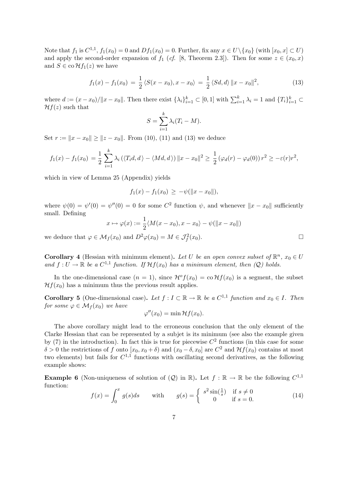Note that  $f_1$  is  $C^{1,1}$ ,  $f_1(x_0) = 0$  and  $Df_1(x_0) = 0$ . Further, fix any  $x \in U \setminus \{x_0\}$  (with  $[x_0, x] \subset U$ ) and apply the second-order expansion of  $f_1$  (cf. [8, Theorem 2.3]). Then for some  $z \in (x_0, x)$ and  $S \in \text{co} \mathcal{H} f_1(z)$  we have

$$
f_1(x) - f_1(x_0) = \frac{1}{2} \langle S(x - x_0), x - x_0 \rangle = \frac{1}{2} \langle Sd, d \rangle ||x - x_0||^2,
$$
 (13)

where  $d := (x - x_0)/\|x - x_0\|$ . Then there exist  $\{\lambda_i\}_{i=1}^k \subset [0, 1]$  with  $\sum_{i=1}^k \lambda_i = 1$  and  $\{T_i\}_{i=1}^k \subset$  $\mathcal{H}f(z)$  such that

$$
S = \sum_{i=1}^{k} \lambda_i (T_i - M).
$$

Set  $r := ||x - x_0|| \ge ||z - x_0||$ . From (10), (11) and (13) we deduce

$$
f_1(x) - f_1(x_0) = \frac{1}{2} \sum_{i=1}^k \lambda_i \left( \langle T_i d, d \rangle - \langle M d, d \rangle \right) ||x - x_0||^2 \ge \frac{1}{2} \left( \varphi_d(r) - \varphi_d(0) \right) r^2 \ge -\varepsilon(r) r^2,
$$

which in view of Lemma 25 (Appendix) yields

$$
f_1(x) - f_1(x_0) \geq -\psi(||x - x_0||),
$$

where  $\psi(0) = \psi'(0) = \psi''(0) = 0$  for some  $C^2$  function  $\psi$ , and whenever  $||x - x_0||$  sufficiently small. Defining

$$
x \mapsto \varphi(x) := \frac{1}{2} \langle M(x - x_0), x - x_0 \rangle - \psi(||x - x_0||)
$$

we deduce that  $\varphi \in \mathcal{M}_f(x_0)$  and  $D^2 \varphi(x_0) = M \in \mathcal{J}_f^2(x_0)$ .

**Corollary 4** (Hessian with minimum element). Let U be an open convex subset of  $\mathbb{R}^n$ ,  $x_0 \in U$ and  $f: U \to \mathbb{R}$  be a  $C^{1,1}$  function. If  $\mathcal{H}f(x_0)$  has a minimum element, then  $(Q)$  holds.

In the one-dimensional case  $(n = 1)$ , since  $\mathcal{H}^{\circ} f(x_0) = \text{co}\,\mathcal{H} f(x_0)$  is a segment, the subset  $\mathcal{H}f(x_0)$  has a minimum thus the previous result applies.

**Corollary 5** (One-dimensional case). Let  $f: I \subset \mathbb{R} \to \mathbb{R}$  be a  $C^{1,1}$  function and  $x_0 \in I$ . Then for some  $\varphi \in \mathcal{M}_f(x_0)$  we have

$$
\varphi''(x_0) = \min \mathcal{H}f(x_0).
$$

The above corollary might lead to the erroneous conclusion that the only element of the Clarke Hessian that can be represented by a subjet is its minimum (see also the example given by (7) in the introduction). In fact this is true for piecewise  $C<sup>2</sup>$  functions (in this case for some  $\delta > 0$  the restrictions of f onto  $[x_0, x_0 + \delta)$  and  $(x_0 - \delta, x_0]$  are  $C^2$  and  $\mathcal{H}f(x_0)$  contains at most two elements) but fails for  $C^{1,1}$  functions with oscillating second derivatives, as the following example shows:

**Example 6** (Non-uniqueness of solution of  $(Q)$  in R). Let  $f : \mathbb{R} \to \mathbb{R}$  be the following  $C^{1,1}$ function:

$$
f(x) = \int_0^x g(s)ds \quad \text{with} \quad g(s) = \begin{cases} s^2 \sin(\frac{1}{s}) & \text{if } s \neq 0\\ 0 & \text{if } s = 0. \end{cases}
$$
 (14)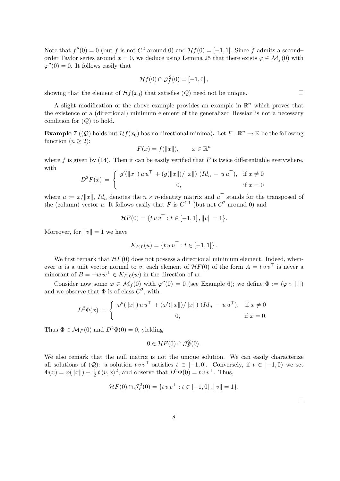Note that  $f''(0) = 0$  (but f is not  $C^2$  around 0) and  $\mathcal{H}f(0) = [-1, 1]$ . Since f admits a secondorder Taylor series around  $x = 0$ , we deduce using Lemma 25 that there exists  $\varphi \in \mathcal{M}_f(0)$  with  $\varphi''(0) = 0$ . It follows easily that

$$
\mathcal{H}f(0) \cap \mathcal{J}_f^2(0) = [-1,0],
$$

showing that the element of  $\mathcal{H}f(x_0)$  that satisfies  $(Q)$  need not be unique.

A slight modification of the above example provides an example in  $\mathbb{R}^n$  which proves that the existence of a (directional) minimum element of the generalized Hessian is not a necessary condition for  $(Q)$  to hold.

**Example 7** ((Q) holds but  $Hf(x_0)$  has no directional minima). Let  $F : \mathbb{R}^n \to \mathbb{R}$  be the following function  $(n \geq 2)$ :

$$
F(x) = f(||x||), \qquad x \in \mathbb{R}^n
$$

where f is given by  $(14)$ . Then it can be easily verified that F is twice differentiable everywhere, with

$$
D^{2}F(x) = \begin{cases} g'(\|x\|) u u^{\top} + (g(\|x\|)/\|x\|) (Id_{n} - u u^{\top}), & \text{if } x \neq 0 \\ 0, & \text{if } x = 0 \end{cases}
$$

where  $u := x/||x||$ , Id<sub>n</sub> denotes the  $n \times n$ -identity matrix and  $u^{\top}$  stands for the transposed of the (column) vector u. It follows easily that F is  $C^{1,1}$  (but not  $C^2$  around 0) and

$$
\mathcal{H}F(0) = \{ t v v^{\top} : t \in [-1, 1], ||v|| = 1 \}.
$$

Moreover, for  $||v|| = 1$  we have

$$
K_{F,0}(u) = \{ t u u^{\top} : t \in [-1,1] \}.
$$

We first remark that  $H_F(0)$  does not possess a directional minimum element. Indeed, whenever w is a unit vector normal to v, each element of  $H_F(0)$  of the form  $A = tv v^{\top}$  is never a minorant of  $B = -w w^{\top} \in K_{F,0}(w)$  in the direction of w.

Consider now some  $\varphi \in \mathcal{M}_f(0)$  with  $\varphi''(0) = 0$  (see Example 6); we define  $\Phi := (\varphi \circ \| \cdot \|)$ and we observe that  $\Phi$  is of class  $C^2$ , with

$$
D^{2}\Phi(x) = \begin{cases} \varphi''(\|x\|) u u^{\top} + (\varphi'(\|x\|)/\|x\|) (Id_{n} - u u^{\top}), & \text{if } x \neq 0 \\ 0, & \text{if } x = 0. \end{cases}
$$

Thus  $\Phi \in M_F(0)$  and  $D^2\Phi(0) = 0$ , yielding

$$
0 \in \mathcal{H}F(0) \cap \mathcal{J}_F^2(0).
$$

We also remark that the null matrix is not the unique solution. We can easily characterize all solutions of  $(Q)$ : a solution  $tv v^{\top}$  satisfies  $t \in [-1, 0]$ . Conversely, if  $t \in [-1, 0)$  we set  $\Phi(x) = \varphi(\|x\|) + \frac{1}{2}t\langle v, x \rangle^2$ , and observe that  $D^2\Phi(0) = tv v^\top$ . Thus,

$$
\mathcal{H}F(0) \cap \mathcal{J}_F^2(0) = \{ t v v^\top : t \in [-1,0], ||v|| = 1 \}.
$$

¤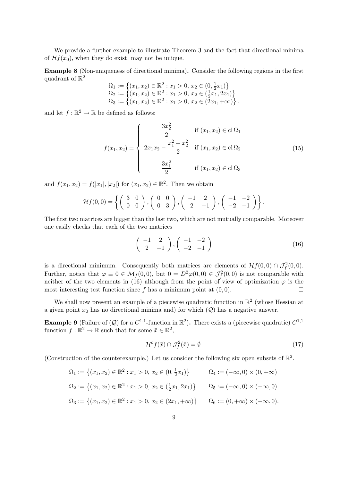We provide a further example to illustrate Theorem 3 and the fact that directional minima of  $\mathcal{H}f(x_0)$ , when they do exist, may not be unique.

Example 8 (Non-uniqueness of directional minima). Consider the following regions in the first quadrant of  $\mathbb{R}^2$ ª

$$
\Omega_1 := \left\{ (x_1, x_2) \in \mathbb{R}^2 : x_1 > 0, x_2 \in (0, \frac{1}{2}x_1) \right\}
$$
  
\n
$$
\Omega_2 := \left\{ (x_1, x_2) \in \mathbb{R}^2 : x_1 > 0, x_2 \in (\frac{1}{2}x_1, 2x_1) \right\}
$$
  
\n
$$
\Omega_3 := \left\{ (x_1, x_2) \in \mathbb{R}^2 : x_1 > 0, x_2 \in (2x_1, +\infty) \right\}.
$$

and let  $f : \mathbb{R}^2 \to \mathbb{R}$  be defined as follows:

$$
f(x_1, x_2) = \begin{cases} \frac{3x_2^2}{2} & \text{if } (x_1, x_2) \in \text{cl}\,\Omega_1 \\ 2x_1x_2 - \frac{x_1^2 + x_2^2}{2} & \text{if } (x_1, x_2) \in \text{cl}\,\Omega_2 \\ \frac{3x_1^2}{2} & \text{if } (x_1, x_2) \in \text{cl}\,\Omega_3 \end{cases}
$$
(15)

and  $f(x_1, x_2) = f(|x_1|, |x_2|)$  for  $(x_1, x_2) \in \mathbb{R}^2$ . Then we obtain

$$
\mathcal{H}f(0,0) = \left\{ \left( \begin{array}{cc} 3 & 0 \\ 0 & 0 \end{array} \right), \left( \begin{array}{cc} 0 & 0 \\ 0 & 3 \end{array} \right), \left( \begin{array}{cc} -1 & 2 \\ 2 & -1 \end{array} \right), \left( \begin{array}{cc} -1 & -2 \\ -2 & -1 \end{array} \right) \right\}
$$

The first two matrices are bigger than the last two, which are not mutually comparable. Moreover one easily checks that each of the two matrices

$$
\left(\begin{array}{cc} -1 & 2\\ 2 & -1 \end{array}\right), \left(\begin{array}{cc} -1 & -2\\ -2 & -1 \end{array}\right) \tag{16}
$$

.

is a directional minimum. Consequently both matrices are elements of  $\mathcal{H}f(0,0) \cap \mathcal{J}_{f}^{2}(0,0)$ . Further, notice that  $\varphi \equiv 0 \in \mathcal{M}_f(0,0)$ , but  $0 = D^2 \varphi(0,0) \in \mathcal{J}_f^2(0,0)$  is not comparable with neither of the two elements in (16) although from the point of view of optimization  $\varphi$  is the most interesting test function since f has a minimum point at  $(0, 0)$ .

We shall now present an example of a piecewise quadratic function in  $\mathbb{R}^2$  (whose Hessian at a given point  $x_0$  has no directional minima and) for which  $(Q)$  has a negative answer.

**Example 9** (Failure of  $(Q)$  for a  $C^{1,1}$ -function in  $\mathbb{R}^2$ ). There exists a (piecewise quadratic)  $C^{1,1}$ function  $f : \mathbb{R}^2 \to \mathbb{R}$  such that for some  $\bar{x} \in \mathbb{R}^2$ ,

$$
\mathcal{H}^o f(\bar{x}) \cap \mathcal{J}_f^2(\bar{x}) = \emptyset. \tag{17}
$$

(Construction of the counterexample.) Let us consider the following six open subsets of  $\mathbb{R}^2$ .

$$
\Omega_1 := \left\{ (x_1, x_2) \in \mathbb{R}^2 : x_1 > 0, x_2 \in (0, \frac{1}{2}x_1) \right\} \qquad \Omega_4 := (-\infty, 0) \times (0, +\infty)
$$
  
\n
$$
\Omega_2 := \left\{ (x_1, x_2) \in \mathbb{R}^2 : x_1 > 0, x_2 \in (\frac{1}{2}x_1, 2x_1) \right\} \qquad \Omega_5 := (-\infty, 0) \times (-\infty, 0)
$$
  
\n
$$
\Omega_3 := \left\{ (x_1, x_2) \in \mathbb{R}^2 : x_1 > 0, x_2 \in (2x_1, +\infty) \right\} \qquad \Omega_6 := (0, +\infty) \times (-\infty, 0).
$$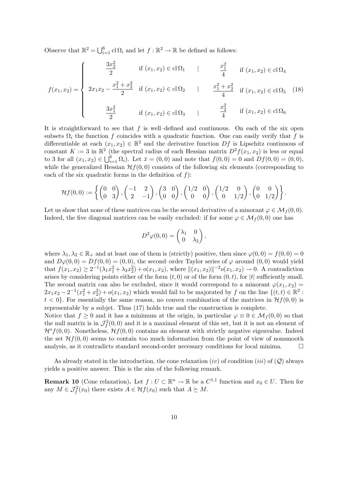Observe that  $\mathbb{R}^2 = \bigcup_{i=1}^6$  $_{i=1}^{6}$  cl  $\Omega_{i}$  and let  $f : \mathbb{R}^{2} \to \mathbb{R}$  be defined as follows:

$$
f(x_1, x_2) = \begin{cases} \frac{3x_2^2}{2} & \text{if } (x_1, x_2) \in \text{cl}\,\Omega_1 \\ 2x_1x_2 - \frac{x_1^2 + x_2^2}{2} & \text{if } (x_1, x_2) \in \text{cl}\,\Omega_2 \\ \frac{3x_1^2}{2} & \text{if } (x_1, x_2) \in \text{cl}\,\Omega_3 \end{cases} \quad | \quad \frac{x_1^2 + x_2^2}{4} \quad \text{if } (x_1, x_2) \in \text{cl}\,\Omega_5 \quad (18)
$$

It is straightforward to see that  $f$  is well-defined and continuous. On each of the six open subsets  $\Omega_i$  the function f coincides with a quadratic function. One can easily verify that f is differentiable at each  $(x_1, x_2) \in \mathbb{R}^2$  and the derivative function  $Df$  is Lipschitz continuous of constant  $K := 3$  in  $\mathbb{R}^2$  (the spectral radius of each Hessian matrix  $D^2 f(x_1, x_2)$  is less or equal to  $2 \text{ fm}$  all  $(x_1, x_1) \subset \mathbb{R}^6$   $\Omega$ ). Let  $\bar{x} = (0, 0)$  and note that  $f(0, 0) = 0$  and  $Df(0, 0) = (0, 0)$ . to 3 for all  $(x_1, x_2) \in \bigcup_{i=1}^6 \Omega_i$ . Let  $\bar{x} = (0, 0)$  and note that  $f(0, 0) = 0$  and  $Df(0, 0) = (0, 0)$ , while the generalized Hessian  $\mathcal{H}f(0,0)$  consists of the following six elements (corresponding to each of the six quadratic forms in the definition of  $f$ ):

$$
\mathcal{H}f(0,0) := \left\{ \begin{pmatrix} 0 & 0 \\ 0 & 3 \end{pmatrix}, \begin{pmatrix} -1 & 2 \\ 2 & -1 \end{pmatrix}, \begin{pmatrix} 3 & 0 \\ 0 & 0 \end{pmatrix}, \begin{pmatrix} 1/2 & 0 \\ 0 & 0 \end{pmatrix}, \begin{pmatrix} 1/2 & 0 \\ 0 & 1/2 \end{pmatrix}, \begin{pmatrix} 0 & 0 \\ 0 & 1/2 \end{pmatrix} \right\}.
$$

Let us show that none of these matrices can be the second derivative of a minorant  $\varphi \in \mathcal{M}_f(0,0)$ . Indeed, the five diagonal matrices can be easily excluded: if for some  $\varphi \in \mathcal{M}_f(0,0)$  one has

$$
D^2 \varphi(0,0) = \begin{pmatrix} \lambda_1 & 0 \\ 0 & \lambda_2 \end{pmatrix},
$$

where  $\lambda_1, \lambda_2 \in \mathbb{R}_+$  and at least one of them is (strictly) positive, then since  $\varphi(0,0) = f(0,0) = 0$ and  $D\varphi(0,0) = Df(0,0) = (0,0)$ , the second–order Taylor series of  $\varphi$  around  $(0,0)$  would yield that  $f(x_1, x_2) \geq 2^{-1}(\lambda_1 x_1^2 + \lambda_2 x_2^2) + o(x_1, x_2)$ , where  $||(x_1, x_2)||^{-2}o(x_1, x_2) \to 0$ . A contradiction arises by considering points either of the form  $(t, 0)$  or of the form  $(0, t)$ , for |t| sufficiently small. The second matrix can also be excluded, since it would correspond to a minorant  $\varphi(x_1, x_2)$  =  $2x_1x_2 - 2^{-1}(x_1^2 + x_2^2) + o(x_1, x_2)$  which would fail to be majorated by f on the line  $\{(t, t) \in \mathbb{R}^2 :$  $t < 0$ . For essentially the same reason, no convex combination of the matrices in  $\mathcal{H}f(0,0)$  is representable by a subjet. Thus (17) holds true and the construction is complete.

Notice that  $f \geq 0$  and it has a minimum at the origin, in particular  $\varphi \equiv 0 \in \mathcal{M}_f(0,0)$  so that the null matrix is in  $\mathcal{J}_{f}^{2}(0,0)$  and it is a maximal element of this set, but it is not an element of  $\mathcal{H}^{\rho}(0,0)$ . Nonetheless,  $\mathcal{H}f(0,0)$  contains an element with strictly negative eigenvalue. Indeed the set  $\mathcal{H}f(0,0)$  seems to contain too much information from the point of view of nonsmooth analysis, as it contradicts standard second-order necessary conditions for local minima.  $\Box$ 

As already stated in the introduction, the cone relaxation (iv) of condition (iii) of  $(Q)$  always yields a positive answer. This is the aim of the following remark.

**Remark 10** (Cone relaxation). Let  $f: U \subset \mathbb{R}^n \to \mathbb{R}$  be a  $C^{1,1}$  function and  $x_0 \in U$ . Then for any  $M \in \mathcal{J}_f^2(x_0)$  there exists  $A \in \mathcal{H}f(x_0)$  such that  $A \succeq M$ .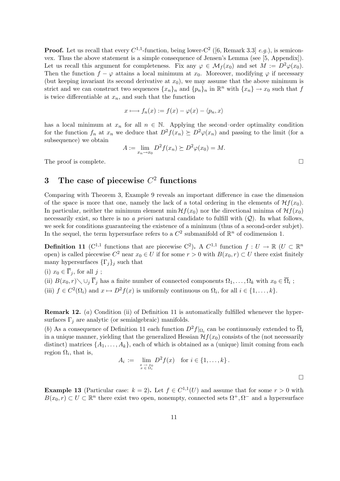**Proof.** Let us recall that every  $C^{1,1}$ -function, being lower- $C^2$  ([6, Remark 3.3] *e.g.*), is semiconvex. Thus the above statement is a simple consequence of Jensen's Lemma (see [5, Appendix]). Let us recall this argument for completeness. Fix any  $\varphi \in \mathcal{M}_f(x_0)$  and set  $M := D^2 \varphi(x_0)$ . Then the function  $f - \varphi$  attains a local minimum at  $x_0$ . Moreover, modifying  $\varphi$  if necessary (but keeping invariant its second derivative at  $x_0$ ), we may assume that the above minimum is strict and we can construct two sequences  $\{x_n\}_n$  and  $\{p_n\}_n$  in  $\mathbb{R}^n$  with  $\{x_n\} \to x_0$  such that f is twice differentiable at  $x_n$ , and such that the function

$$
x \longmapsto f_n(x) := f(x) - \varphi(x) - \langle p_n, x \rangle
$$

has a local minimum at  $x_n$  for all  $n \in \mathbb{N}$ . Applying the second–order optimality condition for the function  $f_n$  at  $x_n$  we deduce that  $D^2 f(x_n) \succeq D^2 \varphi(x_n)$  and passing to the limit (for a subsequence) we obtain

$$
A := \lim_{x_n \to x_0} D^2 f(x_n) \succeq D^2 \varphi(x_0) = M.
$$

The proof is complete.  $\Box$ 

### 3 The case of piecewise  $C^2$  functions

Comparing with Theorem 3, Example 9 reveals an important difference in case the dimension of the space is more that one, namely the lack of a total ordering in the elements of  $\mathcal{H}f(x_0)$ . In particular, neither the minimum element min  $\mathcal{H}f(x_0)$  nor the directional minima of  $\mathcal{H}f(x_0)$ necessarily exist, so there is no a priori natural candidate to fulfill with  $(Q)$ . In what follows, we seek for conditions guaranteeing the existence of a minimum (thus of a second-order subjet). In the sequel, the term hypersurface refers to a  $C^2$  submanifold of  $\mathbb{R}^n$  of codimension 1.

**Definition 11** (C<sup>1,1</sup> functions that are piecewise C<sup>2</sup>). A C<sup>1,1</sup> function  $f: U \to \mathbb{R}$  (U  $\subset \mathbb{R}^n$ open) is called piecewise  $C^2$  near  $x_0 \in U$  if for some  $r > 0$  with  $B(x_0, r) \subset U$  there exist finitely many hypersurfaces  $\{\Gamma_j\}_j$  such that

(i)  $x_0 \in \overline{\Gamma}_i$ , for all j; (ii)  $B(x_0,r) \setminus \bigcup_j \overline{\Gamma}_j$  has a finite number of connected components  $\Omega_1,\ldots,\Omega_k$  with  $x_0 \in \overline{\Omega}_i$ ; (iii)  $f \in C^2(\Omega_i)$  and  $x \mapsto D^2f(x)$  is uniformly continuous on  $\Omega_i$ , for all  $i \in \{1, ..., k\}$ .

Remark 12. (a) Condition (ii) of Definition 11 is automatically fulfilled whenever the hypersurfaces  $\Gamma_j$  are analytic (or semialgebraic) manifolds.

(b) As a consequence of Definition 11 each function  $D^2f|_{\Omega_i}$  can be continuously extended to  $\overline{\Omega}_i$ in a unique manner, yielding that the generalized Hessian  $\mathcal{H}f(x_0)$  consists of the (not necessarily distinct) matrices  $\{A_1, \ldots, A_k\}$ , each of which is obtained as a (unique) limit coming from each region  $\Omega_i$ , that is,

$$
A_i := \lim_{\substack{x \to x_0 \\ x \in \Omega_i}} D^2 f(x) \quad \text{for } i \in \{1, \dots, k\}.
$$

**Example 13** (Particular case:  $k = 2$ ). Let  $f \in C^{1,1}(U)$  and assume that for some  $r > 0$  with  $B(x_0, r) \subset U \subset \mathbb{R}^n$  there exist two open, nonempty, connected sets  $\Omega^+, \Omega^-$  and a hypersurface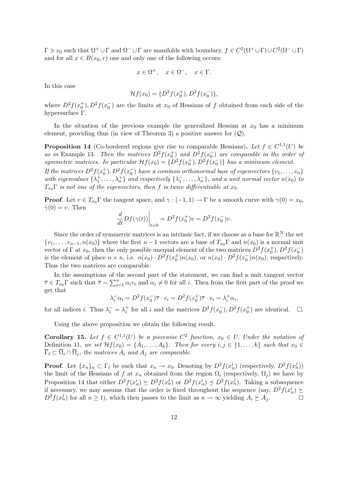$\Gamma \ni x_0$  such that  $\Omega^+ \cup \Gamma$  and  $\Omega^- \cup \Gamma$  are manifolds with boundary,  $f \in C^2(\Omega^+ \cup \Gamma) \cup C^2(\Omega^- \cup \Gamma)$ and for all  $x \in B(x_0, r)$  one and only one of the following occurs:

$$
x \in \Omega^+, \quad x \in \Omega^-, \quad x \in \Gamma.
$$

In this case

$$
\mathcal{H}f(x_0) = \{D^2f(x_0^+), D^2f(x_0^-)\},\
$$

where  $D^2 f(x_0^+), D^2 f(x_0^-)$  are the limits at  $x_0$  of Hessians of f obtained from each side of the hypersurface Γ.

In the situation of the previous example the generalized Hessian at  $x_0$  has a minimum element, providing thus (in view of Theorem 3) a positive answer for  $(Q)$ .

**Proposition 14** (Co-bordered regions give rise to comparable Hessians). Let  $f \in C^{1,1}(U)$  be as in Example 13. Then the matrices  $D^2 f(x_0^+)$  and  $D^2 f(x_0^-)$  are comparable in the order of symmetric matrices. In particular  $Hf(x_0) = \{D^2f(x_0^+), D^2f(x_0^-)\}\$  has a minimum element.

If the matrices  $D^2f(x_0^+), D^2f(x_0^-)$  have a common orthonormal base of eigenvectors  $\{v_1, \ldots, v_n\}$ with eigenvalues  $\{\lambda_1^+, \ldots, \lambda_n^+\}$  and respectively  $\{\lambda_1^-, \ldots, \lambda_n^-\}$ , and a unit normal vector  $n(x_0)$  to  $T_{x_0}\Gamma$  is not one of the eigenvectors, then f is twice differentiable at  $x_0$ .

**Proof.** Let  $v \in T_{x_0} \Gamma$  the tangent space, and  $\gamma : (-1, 1) \to \Gamma$  be a smooth curve with  $\gamma(0) = x_0$ ,  $\dot{\gamma}(0) = v$ . Then  $\overline{a}$ 

$$
\left. \frac{d}{dt} Df(\gamma(t)) \right|_{t=0} = D^2 f(x_0^+) v = D^2 f(x_0^-) v.
$$

Since the order of symmetric matrices is an intrinsic fact, if we choose as a base for  $\mathbb{R}^N$  the set  $\{v_1, \ldots, v_{n-1}, n(x_0)\}\$  where the first  $n-1$  vectors are a base of  $T_{x_0}\Gamma$  and  $n(x_0)\$  is a normal unit vector of  $\Gamma$  at  $x_0$ , then the only possible unequal element of the two matrices  $D^2 f(x_0^+), D^2 f(x_0^-)$ is the element of place  $n \times n$ , i.e.  $n(x_0) \cdot D^2 f(x_0^{\pm}) n(x_0)$ , or  $n(x_0) \cdot D^2 f(x_0^{-}) n(x_0)$ , respectively. Thus the two matrices are comparable.

In the assumptions of the second part of the statement, we can find a unit tangent vector  $\overline{\tau}$  ∈  $T_{x_0}$ Γ such that  $\overline{\tau} = \sum_{i=1}^n$  $\sum_{i=1}^{n} \alpha_i v_i$  and  $\alpha_i \neq 0$  for all i. Then from the first part of the proof we get that

$$
\lambda_i^- \alpha_i = D^2 f(x_0^-) \overline{\tau} \cdot v_i = D^2 f(x_0^+) \overline{\tau} \cdot v_i = \lambda_i^+ \alpha_i,
$$

for all indices *i*. Thus  $\lambda_i^- = \lambda_i^+$  for all *i* and the matrices  $D^2 f(x_0^-), D^2 f(x_0^+)$  are identical.  $\Box$ .

Using the above proposition we obtain the following result.

**Corollary 15.** Let  $f \in C^{1,1}(U)$  be a piecewise  $C^2$  function,  $x_0 \in U$ . Under the notation of Definition 11, we set  $\mathcal{H}f(x_0) = \{A_1, \ldots, A_k\}$ . Then for every  $i, j \in \{1, \ldots, k\}$  such that  $x_0 \in$  $\overline{\Gamma}_{\ell} \subset \overline{\Omega}_i \cap \overline{\Omega}_j$ , the matrices  $A_i$  and  $A_j$  are comparable.

**Proof.** Let  $\{x_n\}_n \subset \Gamma_\ell$  be such that  $x_n \to x_0$ . Denoting by  $D^2 f(x_n^i)$  (respectively,  $D^2 f(x_n^j)$ ) the limit of the Hessians of f at  $x_n$  obtained from the region  $\Omega_i$  (respectively,  $\Omega_i$ ) we have by Proposition 14 that either  $D^2 f(x_n^i) \succeq D^2 f(x_n^j)$  or  $D^2 f(x_n^i) \preceq D^2 f(x_n^j)$ . Taking a subsequence if necessary, we may assume that the order is fixed throughout the sequence (say,  $D^2 f(x_n^i) \succeq$  $D^2 f(x_n^j)$  for all  $n \ge 1$ ), which then passes to the limit as  $n \to \infty$  yielding  $A_i \succeq A_j$ .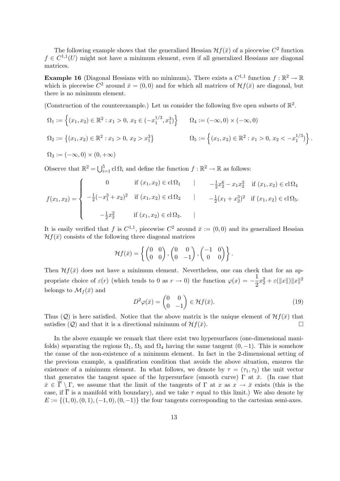The following example shows that the generalized Hessian  $\mathcal{H}f(\bar{x})$  of a piecewise  $C^2$  function  $f \in C^{1,1}(U)$  might not have a minimum element, even if all generalized Hessians are diagonal matrices.

**Example 16** (Diagonal Hessians with no minimum). There exists a  $C^{1,1}$  function  $f : \mathbb{R}^2 \to \mathbb{R}$ which is piecewise  $C^2$  around  $\bar{x} = (0,0)$  and for which all matrices of  $\mathcal{H}f(\bar{x})$  are diagonal, but there is no minimum element.

(Construction of the counterexample.) Let us consider the following five open subsets of  $\mathbb{R}^2$ .

$$
\Omega_1 := \left\{ (x_1, x_2) \in \mathbb{R}^2 : x_1 > 0, x_2 \in (-x_1^{1/3}, x_1^3) \right\} \qquad \Omega_4 := (-\infty, 0) \times (-\infty, 0)
$$
  
\n
$$
\Omega_2 := \left\{ (x_1, x_2) \in \mathbb{R}^2 : x_1 > 0, x_2 > x_1^3 \right\} \qquad \qquad \Omega_5 := \left\{ (x_1, x_2) \in \mathbb{R}^2 : x_1 > 0, x_2 < -x_1^{1/3} \right\}.
$$
  
\n
$$
\Omega_3 := (-\infty, 0) \times (0, +\infty)
$$

Observe that  $\mathbb{R}^2 = \bigcup_{i=1}^5$  $_{i=1}^{5}$  cl  $\Omega_{i}$  and define the function  $f : \mathbb{R}^{2} \to \mathbb{R}$  as follows:

$$
f(x_1, x_2) = \begin{cases} 0 & \text{if } (x_1, x_2) \in \text{cl}\,\Omega_1 \mid -\frac{1}{2}x_2^6 - x_1x_2^3 & \text{if } (x_1, x_2) \in \text{cl}\,\Omega_4 \\ -\frac{1}{2}(-x_1^3 + x_2)^2 & \text{if } (x_1, x_2) \in \text{cl}\,\Omega_2 \mid -\frac{1}{2}(x_1 + x_2^3)^2 & \text{if } (x_1, x_2) \in \text{cl}\,\Omega_5. \\ -\frac{1}{2}x_2^2 & \text{if } (x_1, x_2) \in \text{cl}\,\Omega_3. \end{cases}
$$

It is easily verified that f is  $C^{1,1}$ , piecewise  $C^2$  around  $\bar{x} := (0,0)$  and its generalized Hessian  $Hf(\bar{x})$  consists of the following three diagonal matrices

$$
\mathcal{H}f(\bar{x}) = \left\{ \begin{pmatrix} 0 & 0 \\ 0 & 0 \end{pmatrix}, \begin{pmatrix} 0 & 0 \\ 0 & -1 \end{pmatrix}, \begin{pmatrix} -1 & 0 \\ 0 & 0 \end{pmatrix} \right\}.
$$

Then  $Hf(\bar{x})$  does not have a minimum element. Nevertheless, one can check that for an appropriate choice of  $\varepsilon(r)$  (which tends to 0 as  $r \to 0$ ) the function  $\varphi(x) = -\frac{1}{2}$  $\frac{1}{2}x_2^2 + \varepsilon(\|x\|)\|x\|^2$ belongs to  $\mathcal{M}_f(\bar{x})$  and  $\mathbf{r}$ 

$$
D^2 \varphi(\bar{x}) = \begin{pmatrix} 0 & 0 \\ 0 & -1 \end{pmatrix} \in \mathcal{H} f(\bar{x}).
$$
 (19)

Thus (Q) is here satisfied. Notice that the above matrix is the unique element of  $\mathcal{H}f(\bar{x})$  that satisfies  $(Q)$  and that it is a directional minimum of  $\mathcal{H}f(\bar{x})$ .

In the above example we remark that there exist two hypersurfaces (one-dimensional manifolds) separating the regions  $\Omega_1$ ,  $\Omega_5$  and  $\Omega_4$  having the same tangent  $(0, -1)$ . This is somehow the cause of the non-existence of a minimum element. In fact in the 2-dimensional setting of the previous example, a qualification condition that avoids the above situation, ensures the existence of a minimum element. In what follows, we denote by  $\tau = (\tau_1, \tau_2)$  the unit vector that generates the tangent space of the hypersurface (smooth curve)  $\Gamma$  at  $\bar{x}$ . (In case that  $\bar{x} \in \bar{\Gamma} \setminus \Gamma$ , we assume that the limit of the tangents of  $\Gamma$  at x as  $x \to \bar{x}$  exists (this is the case, if  $\overline{\Gamma}$  is a manifold with boundary), and we take  $\tau$  equal to this limit.) We also denote by  $E := \{(1,0), (0,1), (-1,0), (0,-1)\}\$ the four tangents corresponding to the cartesian semi-axes.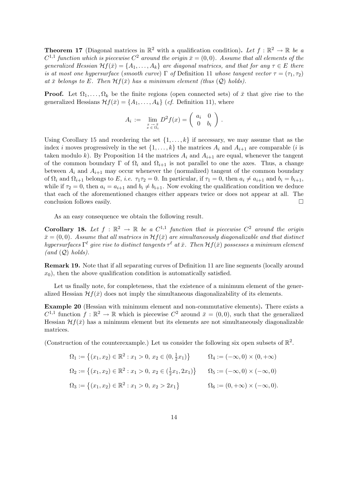**Theorem 17** (Diagonal matrices in  $\mathbb{R}^2$  with a qualification condition). Let  $f : \mathbb{R}^2 \to \mathbb{R}$  be a  $C^{1,1}$  function which is piecewise  $C^2$  around the origin  $\bar{x}=(0,0)$ . Assume that all elements of the generalized Hessian  $Hf(\bar{x}) = \{A_1, \ldots, A_k\}$  are diagonal matrices, and that for any  $\tau \in E$  there is at most one hypersurface (smooth curve)  $\Gamma$  of Definition 11 whose tangent vector  $\tau = (\tau_1, \tau_2)$ at  $\bar{x}$  belongs to E. Then  $Hf(\bar{x})$  has a minimum element (thus  $(Q)$  holds).

**Proof.** Let  $\Omega_1, \ldots, \Omega_k$  be the finite regions (open connected sets) of  $\bar{x}$  that give rise to the generalized Hessians  $\mathcal{H}f(\bar{x}) = \{A_1, \ldots, A_k\}$  (*cf.* Definition 11), where

$$
A_i := \lim_{\substack{x \to \bar{x} \\ x \in \Omega_i}} D^2 f(x) = \begin{pmatrix} a_i & 0 \\ 0 & b_i \end{pmatrix}.
$$

Using Corollary 15 and reordering the set  $\{1, \ldots, k\}$  if necessary, we may assume that as the index i moves progressively in the set  $\{1, \ldots, k\}$  the matrices  $A_i$  and  $A_{i+1}$  are comparable (i is taken modulo k). By Proposition 14 the matrices  $A_i$  and  $A_{i+1}$  are equal, whenever the tangent of the common boundary Γ of  $\Omega_i$  and  $\Omega_{i+1}$  is not parallel to one the axes. Thus, a change between  $A_i$  and  $A_{i+1}$  may occur whenever the (normalized) tangent of the common boundary of  $\Omega_i$  and  $\Omega_{i+1}$  belongs to E, i.e.  $\tau_1\tau_2 = 0$ . In particular, if  $\tau_1 = 0$ , then  $a_i \neq a_{i+1}$  and  $b_i = b_{i+1}$ , while if  $\tau_2 = 0$ , then  $a_i = a_{i+1}$  and  $b_i \neq b_{i+1}$ . Now evoking the qualification condition we deduce that each of the aforementioned changes either appears twice or does not appear at all. The conclusion follows easily.  $\Box$ 

As an easy consequence we obtain the following result.

**Corollary 18.** Let  $f : \mathbb{R}^2 \to \mathbb{R}$  be a  $C^{1,1}$  function that is piecewise  $C^2$  around the origin  $\bar{x} = (0, 0)$ . Assume that all matrices in  $\mathcal{H}f(\bar{x})$  are simultaneously diagonalizable and that distinct hypersurfaces  $\Gamma^\ell$  give rise to distinct tangents  $\tau^\ell$  at  $\bar x.$  Then  $\mathcal H f(\bar x)$  possesses a minimum element  $(and (Q) holds).$ 

Remark 19. Note that if all separating curves of Definition 11 are line segments (locally around  $x_0$ ), then the above qualification condition is automatically satisfied.

Let us finally note, for completeness, that the existence of a minimum element of the generalized Hessian  $\mathcal{H}f(\bar{x})$  does not imply the simultaneous diagonalizability of its elements.

Example 20 (Hessian with minimum element and non-commutative elements). There exists a  $C^{1,1}$  function  $f : \mathbb{R}^2 \to \mathbb{R}$  which is piecewise  $C^2$  around  $\bar{x} = (0,0)$ , such that the generalized Hessian  $\mathcal{H}f(\bar{x})$  has a minimum element but its elements are not simultaneously diagonalizable matrices.

(Construction of the counterexample.) Let us consider the following six open subsets of  $\mathbb{R}^2$ .

$$
\Omega_1 := \left\{ (x_1, x_2) \in \mathbb{R}^2 : x_1 > 0, x_2 \in (0, \frac{1}{2}x_1) \right\} \qquad \Omega_4 := (-\infty, 0) \times (0, +\infty)
$$
  
\n
$$
\Omega_2 := \left\{ (x_1, x_2) \in \mathbb{R}^2 : x_1 > 0, x_2 \in (\frac{1}{2}x_1, 2x_1) \right\} \qquad \Omega_5 := (-\infty, 0) \times (-\infty, 0)
$$
  
\n
$$
\Omega_3 := \left\{ (x_1, x_2) \in \mathbb{R}^2 : x_1 > 0, x_2 > 2x_1 \right\} \qquad \Omega_6 := (0, +\infty) \times (-\infty, 0).
$$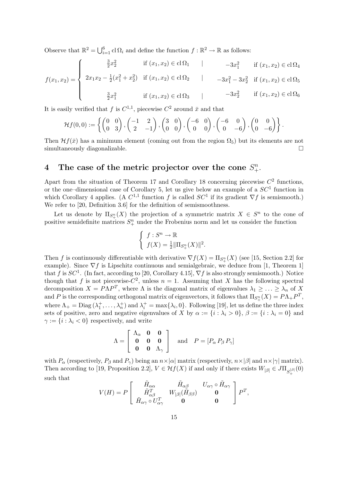Observe that  $\mathbb{R}^2 = \bigcup_{i=1}^6$  $_{i=1}^{6}$  cl  $\Omega_i$  and define the function  $f : \mathbb{R}^2 \to \mathbb{R}$  as follows:

$$
f(x_1, x_2) = \begin{cases} \frac{3}{2}x_2^2 & \text{if } (x_1, x_2) \in \text{cl}\,\Omega_1 \quad | & -3x_1^2 & \text{if } (x_1, x_2) \in \text{cl}\,\Omega_4 \\ 2x_1x_2 - \frac{1}{2}(x_1^2 + x_2^2) & \text{if } (x_1, x_2) \in \text{cl}\,\Omega_2 \quad | & -3x_1^2 - 3x_2^2 & \text{if } (x_1, x_2) \in \text{cl}\,\Omega_5 \\ \frac{3}{2}x_1^2 & \text{if } (x_1, x_2) \in \text{cl}\,\Omega_3 \quad | & -3x_2^2 & \text{if } (x_1, x_2) \in \text{cl}\,\Omega_6 \end{cases}
$$

It is easily verified that f is  $C^{1,1}$ , piecewise  $C^2$  around  $\bar{x}$  and that

$$
\mathcal{H}f(0,0) := \left\{ \begin{pmatrix} 0 & 0 \\ 0 & 3 \end{pmatrix}, \begin{pmatrix} -1 & 2 \\ 2 & -1 \end{pmatrix}, \begin{pmatrix} 3 & 0 \\ 0 & 0 \end{pmatrix}, \begin{pmatrix} -6 & 0 \\ 0 & 0 \end{pmatrix}, \begin{pmatrix} -6 & 0 \\ 0 & -6 \end{pmatrix}, \begin{pmatrix} 0 & 0 \\ 0 & -6 \end{pmatrix} \right\}.
$$

Then  $\mathcal{H}f(\bar{x})$  has a minimum element (coming out from the region  $\Omega_5$ ) but its elements are not simultaneously diagonalizable.

## 4 The case of the metric projector over the cone  $S_{+}^{n}$ .

Apart from the situation of Theorem 17 and Corollary 18 concerning piecewise  $C<sup>2</sup>$  functions, or the one-dimensional case of Corollary 5, let us give below an example of a  $SC<sup>1</sup>$  function in which Corollary 4 applies. (A  $C^{1,1}$  function f is called  $SC^1$  if its gradient  $\nabla f$  is semismooth.) We refer to [20, Definition 3.6] for the definition of semismoothness.

Let us denote by  $\Pi_{S^n_+}(X)$  the projection of a symmetric matrix  $X \in S^n$  to the cone of positive semidefinite matrices  $S_{+}^{n}$  under the Frobenius norm and let us consider the function

$$
\begin{cases} f: S^n \to \mathbb{R} \\ f(X) = \frac{1}{2} \|\Pi_{S^n_+}(X)\|^2. \end{cases}
$$

Then f is continuously differentiable with derivative  $\nabla f(X) = \Pi_{S_+^n}(X)$  (see [15, Section 2.2] for example). Since  $\nabla f$  is Lipschitz continuous and semialgebraic, we deduce from [1, Theorem 1] that f is  $SC^1$ . (In fact, according to [20, Corollary 4.15],  $\nabla f$  is also strongly semismooth.) Notice though that f is not piecewise- $C^2$ , unless  $n = 1$ . Assuming that X has the following spectral decomposition  $X = P\Lambda P^T$ , where  $\Lambda$  is the diagonal matrix of eigenvalues  $\lambda_1 \geq \ldots \geq \lambda_n$  of X and P is the corresponding orthogonal matrix of eigenvectors, it follows that  $\Pi_{S^n_+}(X) = P\Lambda_+ P^T$ , where  $\Lambda_+$  = Diag  $(\lambda_1^+, \ldots, \lambda_n^+)$  and  $\lambda_i^+$  = max $\{\lambda_i, 0\}$ . Following [19], let us define the three index sets of positive, zero and negative eigenvalues of X by  $\alpha := \{i : \lambda_i > 0\}, \beta := \{i : \lambda_i = 0\}$  and  $\gamma := \{i : \lambda_i < 0\}$  respectively, and write

$$
\Lambda = \left[ \begin{array}{ccc} \Lambda_{\alpha} & \mathbf{0} & \mathbf{0} \\ \mathbf{0} & \mathbf{0} & \mathbf{0} \\ \mathbf{0} & \mathbf{0} & \Lambda_{\gamma} \end{array} \right] \quad \text{and} \quad P = [P_{\alpha} P_{\beta} P_{\gamma}]
$$

with  $P_{\alpha}$  (respectively,  $P_{\beta}$  and  $P_{\gamma}$ ) being an  $n \times |\alpha|$  matrix (respectively,  $n \times |\beta|$  and  $n \times |\gamma|$  matrix). Then according to [19, Proposition 2.2],  $V \in Hf(X)$  if and only if there exists  $W_{|\beta|} \in J\Pi_{S_{+}^{|\beta|}}(0)$ such that  $\overline{a}$  $\overline{a}$ 

$$
V(H) = P \left[ \begin{array}{ccc} \tilde{H}_{\alpha\alpha} & \tilde{H}_{\alpha\beta} & U_{\alpha\gamma} \circ \tilde{H}_{\alpha\gamma} \\ \tilde{H}_{\alpha\beta}^T & W_{|\beta|}(\tilde{H}_{\beta\beta}) & \mathbf{0} \\ \tilde{H}_{\alpha\gamma} \circ U_{\alpha\gamma}^T & \mathbf{0} & \mathbf{0} \end{array} \right] P^T,
$$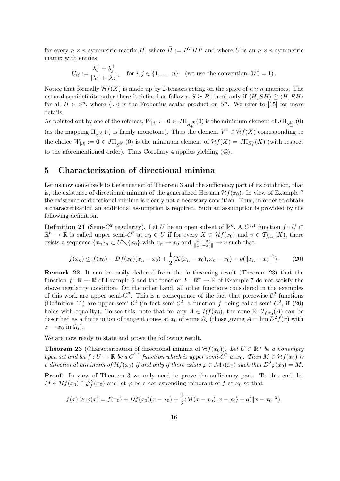for every  $n \times n$  symmetric matrix H, where  $\tilde{H} := P^{T} H P$  and where U is an  $n \times n$  symmetric matrix with entries

$$
U_{ij} := \frac{\lambda_i^+ + \lambda_j^+}{|\lambda_i| + |\lambda_j|}, \quad \text{for } i, j \in \{1, \dots, n\} \quad \text{(we use the convention } 0/0 = 1\text{)}.
$$

Notice that formally  $\mathcal{H}f(X)$  is made up by 2-tensors acting on the space of  $n \times n$  matrices. The natural semidefinite order there is defined as follows:  $S \succeq R$  if and only if  $\langle H, SH \rangle \geq \langle H, RH \rangle$ for all  $H \in S^n$ , where  $\langle \cdot, \cdot \rangle$  is the Frobenius scalar product on  $S^n$ . We refer to [15] for more details.

As pointed out by one of the referees,  $W_{|\beta|} := \mathbf{0} \in J\Pi_{S_{+}^{|\beta|}}(0)$  is the minimum element of  $J\Pi_{S_{+}^{|\beta|}}(0)$ (as the mapping  $\Pi_{S_{+}^{|\beta|}}(\cdot)$  is firmly monotone). Thus the element  $V^0 \in \mathcal{H}f(X)$  corresponding to the choice  $W_{|\beta|} := \mathbf{0} \in J\Pi_{S^{\beta|\beta|}_+}(0)$  is the minimum element of  $\mathcal{H}f(X) = J\Pi_{S^n_+}(X)$  (with respect to the aforementioned order). Thus Corollary 4 applies yielding  $(Q)$ .

### 5 Characterization of directional minima

Let us now come back to the situation of Theorem 3 and the sufficiency part of its condition, that is, the existence of directional minima of the generalized Hessian  $\mathcal{H}f(x_0)$ . In view of Example 7 the existence of directional minima is clearly not a necessary condition. Thus, in order to obtain a characterization an additional assumption is required. Such an assumption is provided by the following definition.

**Definition 21** (Semi-C<sup>2</sup> regularity). Let U be an open subset of  $\mathbb{R}^n$ . A  $C^{1,1}$  function  $f: U \subset$  $\mathbb{R}^n \to \mathbb{R}$  is called upper semi- $C^2$  at  $x_0 \in U$  if for every  $X \in \mathcal{H}f(x_0)$  and  $v \in \mathcal{T}_{f,x_0}(X)$ , there exists a sequence  $\{x_n\}_n \subset U \setminus \{x_0\}$  with  $x_n \to x_0$  and  $\frac{x_n-x_0}{\|x_n-x_0\|} \to v$  such that

$$
f(x_n) \le f(x_0) + Df(x_0)(x_n - x_0) + \frac{1}{2} \langle X(x_n - x_0), x_n - x_0 \rangle + o(||x_n - x_0||^2). \tag{20}
$$

Remark 22. It can be easily deduced from the forthcoming result (Theorem 23) that the function  $f : \mathbb{R} \to \mathbb{R}$  of Example 6 and the function  $F : \mathbb{R}^n \to \mathbb{R}$  of Example 7 do not satisfy the above regularity condition. On the other hand, all other functions considered in the examples of this work are upper semi- $C^2$ . This is a consequence of the fact that piecewise  $C^2$  functions (Definition 11) are upper semi- $\mathcal{C}^2$  (in fact semi- $\mathcal{C}^2$ , a function f being called semi- $\mathcal{C}^2$ , if (20) holds with equality). To see this, note that for any  $A \in \mathcal{H}f(x_0)$ , the cone  $\mathbb{R}_+ \mathcal{T}_{f,x_0}(A)$  can be described as a finite union of tangent cones at  $x_0$  of some  $\overline{\Omega_i}$  (those giving  $A = \lim D^2 f(x)$  with  $x \to x_0$  in  $\Omega_i$ ).

We are now ready to state and prove the following result.

**Theorem 23** (Characterization of directional minima of  $\mathcal{H}f(x_0)$ ). Let  $U \subset \mathbb{R}^n$  be a nonempty open set and let  $f: U \to \mathbb{R}$  be a  $C^{1,1}$  function which is upper semi- $C^2$  at  $x_0$ . Then  $M \in \mathcal{H}f(x_0)$  is a directional minimum of  $\mathcal{H}f(x_0)$  if and only if there exists  $\varphi \in \mathcal{M}_f(x_0)$  such that  $D^2\varphi(x_0) = M$ .

Proof. In view of Theorem 3 we only need to prove the sufficiency part. To this end, let  $M \in Hf(x_0) \cap \mathcal{J}_{f}^{2}(x_0)$  and let  $\varphi$  be a corresponding minorant of f at  $x_0$  so that

$$
f(x) \ge \varphi(x) = f(x_0) + Df(x_0)(x - x_0) + \frac{1}{2} \langle M(x - x_0), x - x_0 \rangle + o(||x - x_0||^2).
$$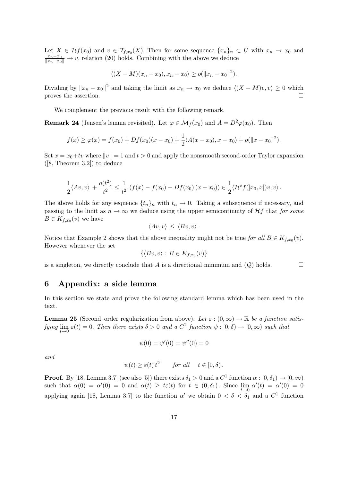Let  $X \in \mathcal{H}f(x_0)$  and  $v \in \mathcal{T}_{f,x_0}(X)$ . Then for some sequence  $\{x_n\}_n \subset U$  with  $x_n \to x_0$  and  $\frac{x_n-x_0}{\|x_n-x_0\|} \to v$ , relation (20) holds. Combining with the above we deduce

$$
\langle (X - M)(x_n - x_0), x_n - x_0 \rangle \ge o(||x_n - x_0||^2).
$$

Dividing by  $||x_n - x_0||^2$  and taking the limit as  $x_n \to x_0$  we deduce  $\langle (X - M)v, v \rangle \ge 0$  which proves the assertion.  $\Box$ 

We complement the previous result with the following remark.

**Remark 24** (Jensen's lemma revisited). Let  $\varphi \in \mathcal{M}_f(x_0)$  and  $A = D^2\varphi(x_0)$ . Then

$$
f(x) \ge \varphi(x) = f(x_0) + Df(x_0)(x - x_0) + \frac{1}{2} \langle A(x - x_0), x - x_0 \rangle + o(||x - x_0||^2).
$$

Set  $x = x_0 + tv$  where  $||v|| = 1$  and  $t > 0$  and apply the nonsmooth second-order Taylor expansion  $([8, Theorem 3.2])$  to deduce

$$
\frac{1}{2}\langle Av, v \rangle + \frac{o(t^2)}{t^2} \le \frac{1}{t^2} \left( f(x) - f(x_0) - Df(x_0) (x - x_0) \right) \in \frac{1}{2} \langle \mathcal{H}^o f(x_0, x | v, v \rangle.
$$

The above holds for any sequence  $\{t_n\}_n$  with  $t_n \to 0$ . Taking a subsequence if necessary, and passing to the limit as  $n \to \infty$  we deduce using the upper semicontinuity of  $Hf$  that for some  $B \in K_{f,x_0}(v)$  we have

$$
\langle Av, v \rangle \leq \langle Bv, v \rangle.
$$

Notice that Example 2 shows that the above inequality might not be true for all  $B \in K_{f,x_0}(v)$ . However whenever the set

$$
\{\langle Bv, v\rangle : B \in K_{f, x_0}(v)\}\
$$

is a singleton, we directly conclude that A is a directional minimum and  $(Q)$  holds.

### 6 Appendix: a side lemma

In this section we state and prove the following standard lemma which has been used in the text.

**Lemma 25** (Second–order regularization from above). Let  $\varepsilon$  :  $(0,\infty) \to \mathbb{R}$  be a function satisfying  $\lim_{t\to 0} \varepsilon(t) = 0$ . Then there exists  $\delta > 0$  and a  $C^2$  function  $\psi : [0, \delta) \to [0, \infty)$  such that

$$
\psi(0) = \psi'(0) = \psi''(0) = 0
$$

and

$$
\psi(t) \ge \varepsilon(t) t^2
$$
 for all  $t \in [0, \delta)$ .

**Proof.** By [18, Lemma 3.7] (see also [5]) there exists  $\delta_1 > 0$  and a  $C^1$  function  $\alpha : [0, \delta_1) \to [0, \infty)$ such that  $\alpha(0) = \alpha'(0) = 0$  and  $\alpha(t) \ge t\epsilon(t)$  for  $t \in (0, \delta_1)$ . Since  $\lim_{t \to 0} \alpha'(t) = \alpha'(0) = 0$ applying again [18, Lemma 3.7] to the function  $\alpha'$  we obtain  $0 < \delta < \delta_1$  and a  $C^1$  function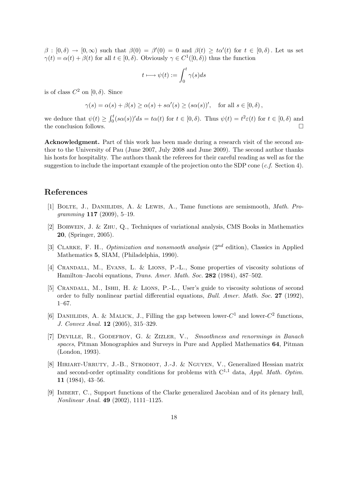$\beta : [0, \delta) \to [0, \infty)$  such that  $\beta(0) = \beta'(0) = 0$  and  $\beta(t) \geq t\alpha'(t)$  for  $t \in [0, \delta)$ . Let us set  $\gamma(t) = \alpha(t) + \beta(t)$  for all  $t \in [0, \delta)$ . Obviously  $\gamma \in C^1([0, \delta))$  thus the function

$$
t\longmapsto \psi(t):=\int_0^t\gamma(s)ds
$$

is of class  $C^2$  on  $[0, \delta)$ . Since

$$
\gamma(s) = \alpha(s) + \beta(s) \ge \alpha(s) + s\alpha'(s) \ge (s\alpha(s))', \text{ for all } s \in [0, \delta),
$$

we deduce that  $\psi(t) \geq \int_0^t$  $v_0^t(s\alpha(s))'ds = t\alpha(t)$  for  $t \in [0,\delta)$ . Thus  $\psi(t) = t^2 \varepsilon(t)$  for  $t \in [0,\delta)$  and the conclusion follows.  $\Box$ 

Acknowledgment. Part of this work has been made during a research visit of the second author to the University of Pau (June 2007, July 2008 and June 2009). The second author thanks his hosts for hospitality. The authors thank the referees for their careful reading as well as for the suggestion to include the important example of the projection onto the SDP cone  $(c.f.$  Section 4).

### References

- [1] BOLTE, J., DANIILIDIS, A. & LEWIS, A., Tame functions are semismooth, Math. Programming  $117$  (2009), 5-19.
- [2] Borwein, J. & Zhu, Q., Techniques of variational analysis, CMS Books in Mathematics 20, (Springer, 2005).
- [3] CLARKE, F. H., *Optimization and nonsmooth analysis*  $(2^{nd}$  edition), Classics in Applied Mathematics 5, SIAM, (Philadelphia, 1990).
- [4] Crandall, M., Evans, L. & Lions, P.-L., Some properties of viscosity solutions of Hamilton–Jacobi equations, Trans. Amer. Math. Soc. 282 (1984), 487–502.
- [5] Crandall, M., Ishii, H. & Lions, P.-L., User's guide to viscosity solutions of second order to fully nonlinear partial differential equations, Bull. Amer. Math. Soc. 27 (1992), 1–67.
- [6] DANIILIDIS, A. & MALICK, J., Filling the gap between lower- $C^1$  and lower- $C^2$  functions, J. Convex Anal. 12 (2005), 315–329.
- [7] Deville, R., Godefroy, G. & Zizler, V., Smoothness and renormings in Banach spaces, Pitman Monographies and Surveys in Pure and Applied Mathematics 64, Pitman (London, 1993).
- [8] Hiriart-Urruty, J.-B., Strodiot, J.-J. & Nguyen, V., Generalized Hessian matrix and second-order optimality conditions for problems with  $C^{1,1}$  data, Appl. Math. Optim. 11 (1984), 43–56.
- [9] Imbert, C., Support functions of the Clarke generalized Jacobian and of its plenary hull, Nonlinear Anal. 49 (2002), 1111–1125.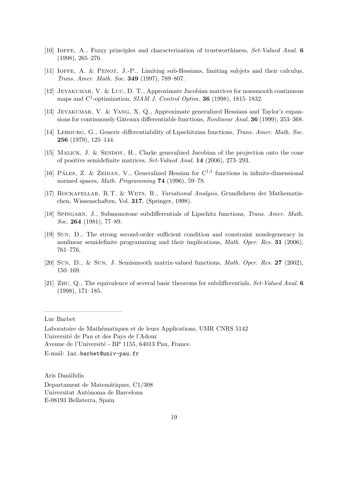- [10] Ioffe, A., Fuzzy principles and characterization of trustworthiness, Set-Valued Anal. 6 (1998), 265–276.
- [11] IOFFE, A. & PENOT, J.-P., Limiting sub-Hessians, limiting subjets and their calculus, Trans. Amer. Math. Soc. 349 (1997), 789–807.
- [12] Jeyakumar, V. & Luc, D. T., Approximate Jacobian matrices for nonsmooth continuous maps and  $C^1$ -optimization, *SIAM J. Control Optim.* **36** (1998), 1815–1832.
- [13] JEYAKUMAR, V. & YANG, X. Q., Approximate generalized Hessians and Taylor's expansions for continuously Gâteaux differentiable functions, *Nonlinear Anal.* **36** (1999), 353–368.
- [14] LEBOURG, G., Generic differentiability of Lipschitzian functions, Trans. Amer. Math. Soc. 256 (1979), 125–144.
- [15] MALICK, J. & SENDOV, H., Clarke generalized Jacobian of the projection onto the cone of positive semidefinite matrices, Set-Valued Anal. 14 (2006), 273–293.
- [16] PÁLES, Z. & ZEIDAN, V., Generalized Hessian for  $C^{1,1}$  functions in infinite-dimensional normed spaces, Math. Programming 74 (1996), 59–78.
- [17] ROCKAFELLAR, R.T. & WETS, R., Variational Analysis, Grundlehren der Mathematischen, Wissenschaften, Vol. 317, (Springer, 1998).
- [18] Spingarn, J., Submonotone subdifferentials of Lipschitz functions, Trans. Amer. Math. Soc. 264 (1981), 77–89.
- [19] Sun, D., The strong second-order sufficient condition and constraint nondegeneracy in nonlinear semidefinite programming and their implications, Math. Oper. Res. 31 (2006), 761–776.
- [20] Sun, D., & Sun, J. Semismooth matrix-valued functions, Math. Oper. Res. 27 (2002), 150–169.
- [21] Zhu, Q., The equivalence of several basic theorems for subdifferentials, Set-Valued Anal. 6 (1998), 171–185.

Luc Barbet

————————————–

Laboratoire de Mathématiques et de leurs Applications, UMR CNRS 5142 Université de Pau et des Pays de l'Adour Avenue de l'Université - BP 1155, 64013 Pau, France. E-mail: luc.barbet@univ-pau.fr

Aris Daniilidis

Departament de Matem`atiques, C1/308 Universitat Autònoma de Barcelona E-08193 Bellaterra, Spain